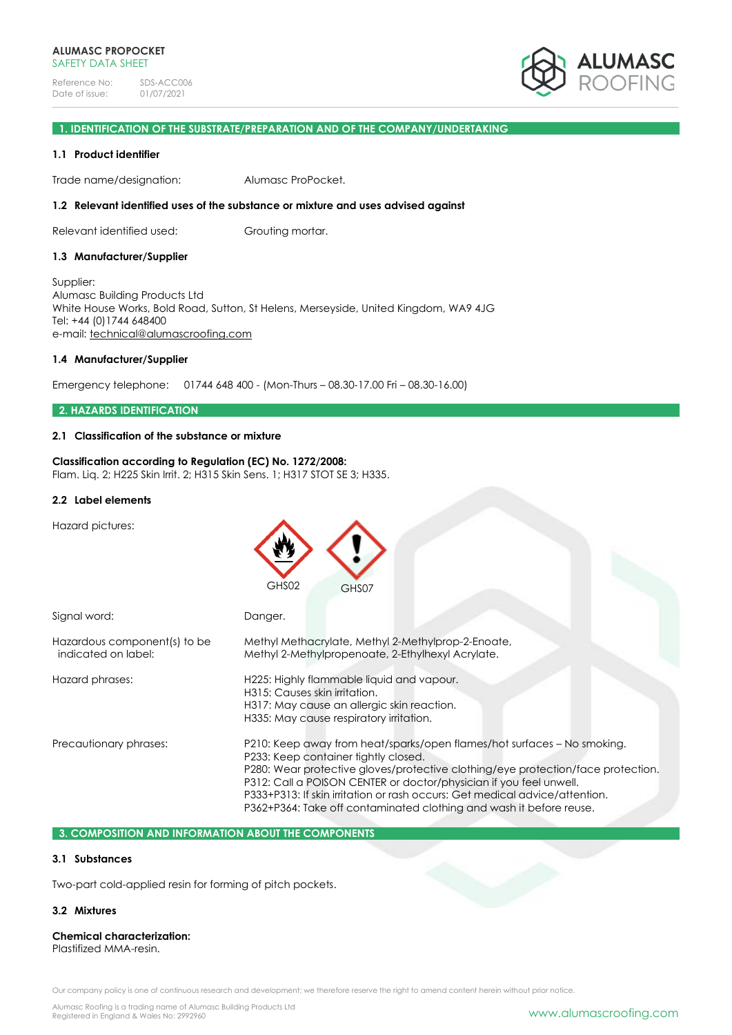

## **1. IDENTIFICATION OF THE SUBSTRATE/PREPARATION AND OF THE COMPANY/UNDERTAKING**

### **1.1 Product identifier**

Trade name/designation: Alumasc ProPocket.

## **1.2 Relevant identified uses of the substance or mixture and uses advised against**

Relevant identified used: Grouting mortar.

### **1.3 Manufacturer/Supplier**

Supplier: Alumasc Building Products Ltd White House Works, Bold Road, Sutton, St Helens, Merseyside, United Kingdom, WA9 4JG Tel: +44 (0)1744 648400 e-mail: [technical@alumascroofing.com](mailto:technical@alumascroofing.com)

#### **1.4 Manufacturer/Supplier**

Emergency telephone: 01744 648 400 - (Mon-Thurs – 08.30-17.00 Fri – 08.30-16.00)

## **2. HAZARDS IDENTIFICATION**

## **2.1 Classification of the substance or mixture**

**Classification according to Regulation (EC) No. 1272/2008:** Flam. Liq. 2; H225 Skin Irrit. 2; H315 Skin Sens. 1; H317 STOT SE 3; H335.

#### **2.2 Label elements**

Hazard pictures:

|                                                     | GHS02<br>GHS07                                                                                                                                                                                                                                                                                                                                                                                                                  |
|-----------------------------------------------------|---------------------------------------------------------------------------------------------------------------------------------------------------------------------------------------------------------------------------------------------------------------------------------------------------------------------------------------------------------------------------------------------------------------------------------|
| Signal word:                                        | Danger.                                                                                                                                                                                                                                                                                                                                                                                                                         |
| Hazardous component(s) to be<br>indicated on label: | Methyl Methacrylate, Methyl 2-Methylprop-2-Enoate,<br>Methyl 2-Methylpropenoate, 2-Ethylhexyl Acrylate.                                                                                                                                                                                                                                                                                                                         |
| Hazard phrases:                                     | H225: Highly flammable liquid and vapour.<br>H315: Causes skin irritation.<br>H317: May cause an allergic skin reaction.<br>H335: May cause respiratory irritation.                                                                                                                                                                                                                                                             |
| Precautionary phrases:                              | P210: Keep away from heat/sparks/open flames/hot surfaces – No smoking.<br>P233: Keep container tightly closed.<br>P280: Wear protective gloves/protective clothing/eye protection/face protection.<br>P312: Call a POISON CENTER or doctor/physician if you feel unwell.<br>P333+P313: If skin irritation or rash occurs: Get medical advice/attention.<br>P362+P364: Take off contaminated clothing and wash it before reuse. |

# **3. COMPOSITION AND INFORMATION ABOUT THE COMPONENTS**

## **3.1 Substances**

Two-part cold-applied resin for forming of pitch pockets.

## **3.2 Mixtures**

#### **Chemical characterization:** Plastifized MMA-resin.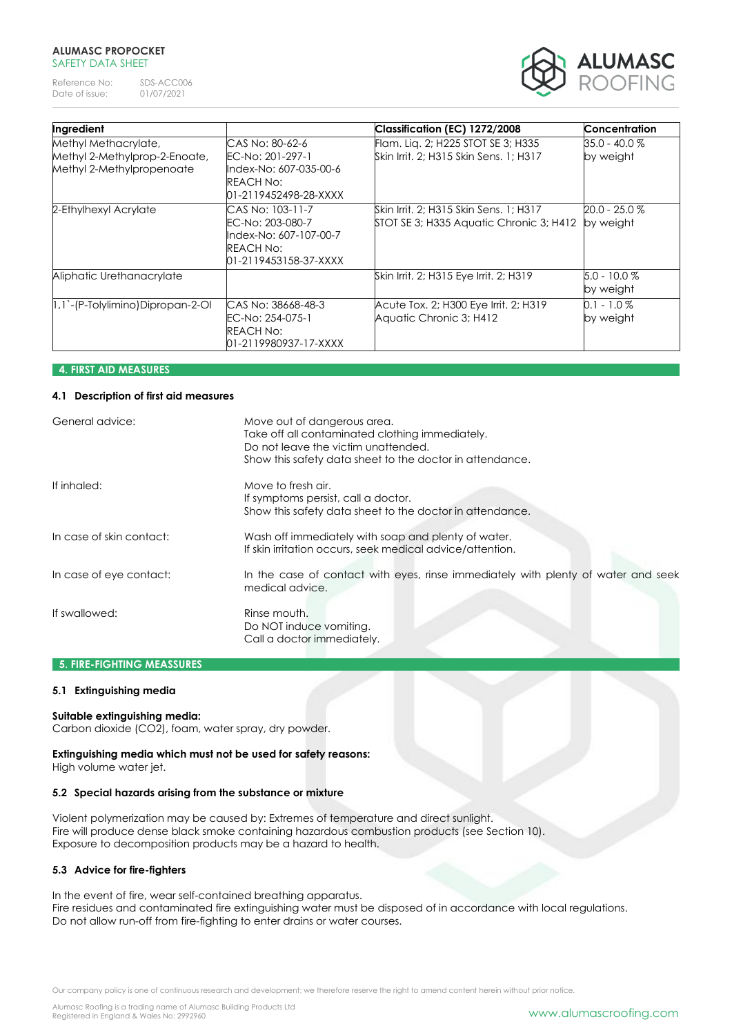Reference No: SDS-ACC006<br>Date of issue: 01/07/2021 Date of issue:



| Ingredient                                                                         |                                                                                                            | Classification (EC) 1272/2008                                                     | Concentration                |
|------------------------------------------------------------------------------------|------------------------------------------------------------------------------------------------------------|-----------------------------------------------------------------------------------|------------------------------|
| Methyl Methacrylate,<br>Methyl 2-Methylprop-2-Enoate,<br>Methyl 2-Methylpropenoate | CAS No: 80-62-6<br>EC-No: 201-297-1<br>Index-No: 607-035-00-6<br><b>REACH No:</b><br>01-2119452498-28-XXXX | Flam. Lig. 2; H225 STOT SE 3; H335<br>Skin Irrit, 2: H315 Skin Sens, 1: H317      | 35.0 - 40.0 %<br>by weight   |
| 2-Ethylhexyl Acrylate                                                              | CAS No: 103-11-7<br>EC-No: 203-080-7<br>llndex-No: 607-107-00-7<br>REACH No:<br>01-2119453158-37-XXXX      | Skin Irrit, 2; H315 Skin Sens, 1; H317<br>STOT SE 3; H335 Aquatic Chronic 3; H412 | $20.0 - 25.0 %$<br>by weight |
| Aliphatic Urethanacrylate                                                          |                                                                                                            | Skin Irrit, 2; H315 Eye Irrit, 2; H319                                            | $5.0 - 10.0 %$<br>by weight  |
| 1,1`-(P-Tolylimino)Dipropan-2-Ol                                                   | ICAS No: 38668-48-3<br>EC-No: 254-075-1<br>REACH No:<br>01-2119980937-17-XXXX                              | Acute Tox. 2; H300 Eye Irrit. 2; H319<br>Aquatic Chronic 3; H412                  | $0.1 - 1.0 \%$<br>by weight  |

# **4. FIRST AID MEASURES**

## **4.1 Description of first aid measures**

| General advice:          | Move out of dangerous area.<br>Take off all contaminated clothing immediately.<br>Do not leave the victim unattended.<br>Show this safety data sheet to the doctor in attendance. |
|--------------------------|-----------------------------------------------------------------------------------------------------------------------------------------------------------------------------------|
| If inhaled:              | Move to fresh air.<br>If symptoms persist, call a doctor.<br>Show this safety data sheet to the doctor in attendance.                                                             |
| In case of skin contact: | Wash off immediately with soap and plenty of water.<br>If skin irritation occurs, seek medical advice/attention.                                                                  |
| In case of eye contact:  | In the case of contact with eyes, rinse immediately with plenty of water and seek<br>medical advice.                                                                              |
| If swallowed:            | Rinse mouth.<br>Do NOT induce vomiting.<br>Call a doctor immediately.                                                                                                             |

## **5. FIRE-FIGHTING MEASSURES**

## **5.1 Extinguishing media**

## **Suitable extinguishing media:**

Carbon dioxide (CO2), foam, water spray, dry powder.

## **Extinguishing media which must not be used for safety reasons:**

High volume water jet.

## **5.2 Special hazards arising from the substance or mixture**

Violent polymerization may be caused by: Extremes of temperature and direct sunlight. Fire will produce dense black smoke containing hazardous combustion products (see Section 10). Exposure to decomposition products may be a hazard to health.

# **5.3 Advice for fire-fighters**

In the event of fire, wear self-contained breathing apparatus. Fire residues and contaminated fire extinguishing water must be disposed of in accordance with local regulations. Do not allow run-off from fire-fighting to enter drains or water courses.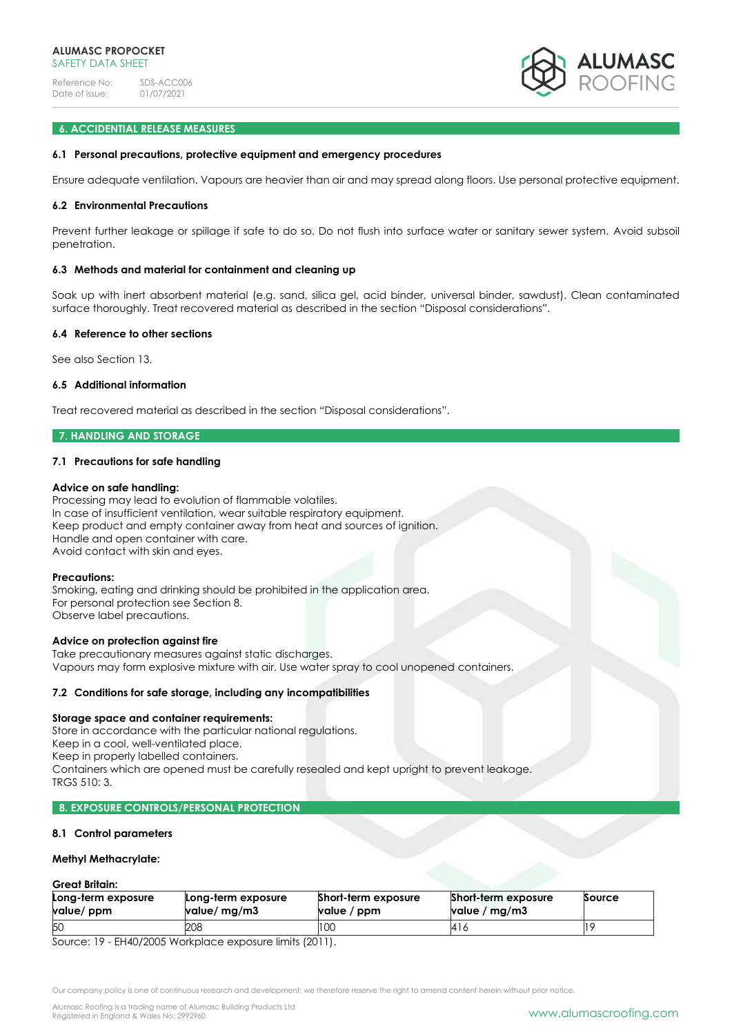

## **6. ACCIDENTIAL RELEASE MEASURES**

#### **6.1 Personal precautions, protective equipment and emergency procedures**

Ensure adequate ventilation. Vapours are heavier than air and may spread along floors. Use personal protective equipment.

#### **6.2 Environmental Precautions**

Prevent further leakage or spillage if safe to do so. Do not flush into surface water or sanitary sewer system. Avoid subsoil penetration.

#### **6.3 Methods and material for containment and cleaning up**

Soak up with inert absorbent material (e.g. sand, silica gel, acid binder, universal binder, sawdust). Clean contaminated surface thoroughly. Treat recovered material as described in the section "Disposal considerations".

#### **6.4 Reference to other sections**

See also Section 13.

## **6.5 Additional information**

Treat recovered material as described in the section "Disposal considerations".

## **7. HANDLING AND STORAGE**

### **7.1 Precautions for safe handling**

#### **Advice on safe handling:**

Processing may lead to evolution of flammable volatiles. In case of insufficient ventilation, wear suitable respiratory equipment. Keep product and empty container away from heat and sources of ignition. Handle and open container with care. Avoid contact with skin and eyes.

#### **Precautions:**

Smoking, eating and drinking should be prohibited in the application area. For personal protection see Section 8. Observe label precautions.

#### **Advice on protection against fire**

Take precautionary measures against static discharges. Vapours may form explosive mixture with air. Use water spray to cool unopened containers.

#### **7.2 Conditions for safe storage, including any incompatibilities**

#### **Storage space and container requirements:**

Store in accordance with the particular national regulations. Keep in a cool, well-ventilated place. Keep in properly labelled containers. Containers which are opened must be carefully resealed and kept upright to prevent leakage. TRGS 510: 3.

# **8. EXPOSURE CONTROLS/PERSONAL PROTECTION**

#### **8.1 Control parameters**

#### **Methyl Methacrylate:**

| Great Britain:                   |                                    |                                    |                                        |        |
|----------------------------------|------------------------------------|------------------------------------|----------------------------------------|--------|
| Long-term exposure<br>value/ ppm | Long-term exposure<br>value/ mg/m3 | Short-term exposure<br>value / ppm | Short-term exposure<br>value / $mg/m3$ | Source |
| 50                               | 208                                | 100                                | 416                                    |        |

Source: 19 - EH40/2005 Workplace exposure limits (2011).

Our company policy is one of continuous research and development; we therefore reserve the right to amend content herein without prior notice.

Alumasc Roofing is a trading name of Alumasc Building Products Ltd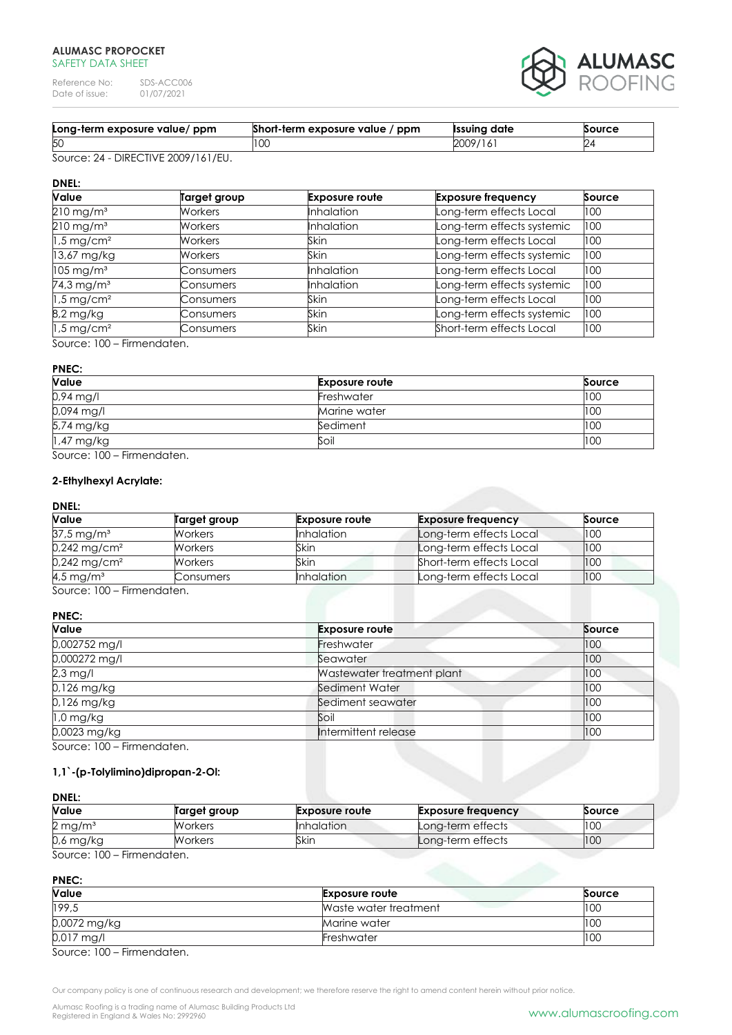Reference No: SDS-ACC006<br>Date of issue: 01/07/2021 Date of issue:



| Long-term exposure value/ ppm | Short-term exposure value / ppm | <b>Issuing date</b> | Source |
|-------------------------------|---------------------------------|---------------------|--------|
| l5C                           |                                 | 2009/<br>16         |        |

Source: 24 - DIRECTIVE 2009/161/EU.

# **DNEL:**

| Value                    | Target group     | <b>Exposure route</b> | <b>Exposure frequency</b>  | Source |
|--------------------------|------------------|-----------------------|----------------------------|--------|
| $210 \text{ mg/m}^3$     | <b>Workers</b>   | <b>Inhalation</b>     | Long-term effects Local    | 100    |
| $210$ mg/m <sup>3</sup>  | <b>Workers</b>   | <b>Inhalation</b>     | Long-term effects systemic | 100    |
| $1.5$ mg/cm <sup>2</sup> | <b>Workers</b>   | Skin                  | Long-term effects Local    | 100    |
| $13,67$ mg/kg            | <b>Workers</b>   | <b>Skin</b>           | Long-term effects systemic | 100    |
| $105 \,\mathrm{mg/m^3}$  | <b>Consumers</b> | <b>Inhalation</b>     | Long-term effects Local    | 100    |
| 74,3 mg/m <sup>3</sup>   | Consumers        | <b>Inhalation</b>     | Long-term effects systemic | 100    |
| $1.5$ mg/cm <sup>2</sup> | Consumers        | <b>Skin</b>           | Long-term effects Local    | 100    |
| 8,2 mg/kg                | Consumers        | Skin                  | Long-term effects systemic | 100    |
| $1.5$ mg/cm <sup>2</sup> | Consumers        | Skin                  | Short-term effects Local   | 100    |

Source: 100 – Firmendaten.

# **PNEC:**

| Value        | <b>Exposure route</b> | Source |
|--------------|-----------------------|--------|
| 0,94 mg/l    | Freshwater            | 100    |
| $0,094$ mg/l | Marine water          | 100    |
| 5,74 mg/kg   | Sediment              | 100    |
| $1.47$ mg/kg | Soil                  | 100    |

Source: 100 – Firmendaten.

# **2-Ethylhexyl Acrylate:**

## **DNEL:**

| <b>Value</b>               | Target group   | <b>Exposure route</b> | <b>Exposure frequency</b> | Source |
|----------------------------|----------------|-----------------------|---------------------------|--------|
| $37.5 \,\mathrm{mg/m^3}$   | <b>Workers</b> | <b>Inhalation</b>     | Long-term effects Local   | 100    |
| $0,242$ mg/cm <sup>2</sup> | <b>Workers</b> | Skin                  | Long-term effects Local   | 100    |
| $0,242$ mg/cm <sup>2</sup> | <b>Workers</b> | Skin                  | Short-term effects Local  | 100    |
| $4.5$ mg/m <sup>3</sup>    | Consumers      | <b>Inhalation</b>     | Long-term effects Local   | 100    |

Source: 100 – Firmendaten.

## **PNEC:**

| Value           | <b>Exposure route</b>      | Source |
|-----------------|----------------------------|--------|
| $0,002752$ mg/l | Freshwater                 | 100    |
| 0,000272 mg/l   | Seawater                   | 100    |
| $2.3$ mg/l      | Wastewater treatment plant | 100    |
| $0.126$ mg/kg   | Sediment Water             | 100    |
| 0,126 mg/kg     | Sediment seawater          | 100    |
| $1.0$ mg/kg     | Soil                       | 100    |
| 0,0023 mg/kg    | Intermittent release       | 100    |

Source: 100 – Firmendaten.

# **1,1`-(p-Tolylimino)dipropan-2-Ol:**

# **DNEL: Value Target group Exposure route Exposure frequency Source** 2 mg/m<sup>3</sup> Workers **Inhalation** Long-term effects 100 0,6 mg/kg Workers Skin Long-term effects 100

Source: 100 – Firmendaten.

**PNEC:**

| Value        | <b>Exposure route</b> | Source |
|--------------|-----------------------|--------|
| 199,5        | Waste water treatment | 100    |
| 0,0072 mg/kg | Marine water          | 100    |
| $0.017$ mg/l | <b>Freshwater</b>     | 100    |

Source: 100 – Firmendaten.

Our company policy is one of continuous research and development; we therefore reserve the right to amend content herein without prior notice.

Alumasc Roofing is a trading name of Alumasc Building Products Ltd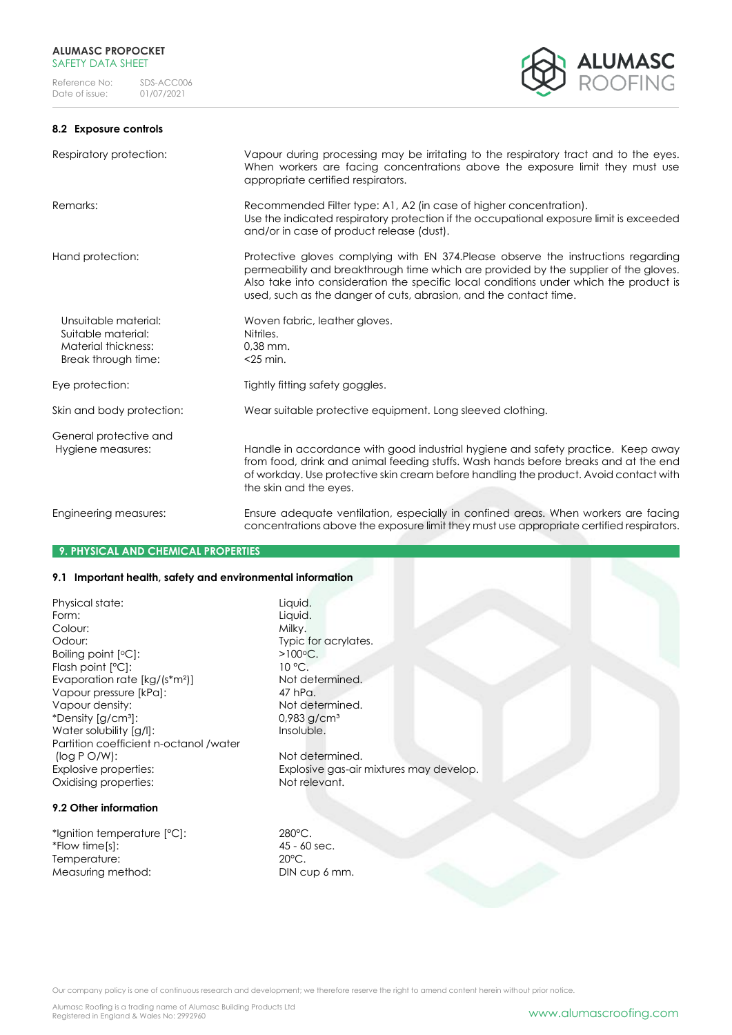## **8.2 Exposure controls**



| Respiratory protection:                                                                  | Vapour during processing may be irritating to the respiratory tract and to the eyes.<br>When workers are facing concentrations above the exposure limit they must use<br>appropriate certified respirators.                                                                                                                              |
|------------------------------------------------------------------------------------------|------------------------------------------------------------------------------------------------------------------------------------------------------------------------------------------------------------------------------------------------------------------------------------------------------------------------------------------|
| Remarks:                                                                                 | Recommended Filter type: A1, A2 (in case of higher concentration).<br>Use the indicated respiratory protection if the occupational exposure limit is exceeded<br>and/or in case of product release (dust).                                                                                                                               |
| Hand protection:                                                                         | Protective gloves complying with EN 374. Please observe the instructions regarding<br>permeability and breakthrough time which are provided by the supplier of the gloves.<br>Also take into consideration the specific local conditions under which the product is<br>used, such as the danger of cuts, abrasion, and the contact time. |
| Unsuitable material:<br>Suitable material:<br>Material thickness:<br>Break through time: | Woven fabric, leather gloves.<br>Nitriles.<br>$0.38$ mm.<br>$<$ 25 min.                                                                                                                                                                                                                                                                  |
| Eye protection:                                                                          | Tightly fitting safety goggles.                                                                                                                                                                                                                                                                                                          |
| Skin and body protection:                                                                | Wear suitable protective equipment. Long sleeved clothing.                                                                                                                                                                                                                                                                               |
| General protective and<br>Hygiene measures:                                              | Handle in accordance with good industrial hygiene and safety practice. Keep away<br>from food, drink and animal feeding stuffs. Wash hands before breaks and at the end<br>of workday. Use protective skin cream before handling the product. Avoid contact with<br>the skin and the eyes.                                               |
| Engineering measures:                                                                    | Ensure adequate ventilation, especially in confined areas. When workers are facing<br>concentrations above the exposure limit they must use appropriate certified respirators.                                                                                                                                                           |

## **9. PHYSICAL AND CHEMICAL PROPERTIES**

## **9.1 Important health, safety and environmental information**

Physical state: Liquid.<br>Form: Liquid. Liquid. Colour: Odour: Typic for acrylates. Boiling point  $[°C]$ :  $\overline{0}$  =  $\overline{100}$ °C.<br>Flash point  $[°C]$ :  $\overline{10}$  °C. Flash point  $[°C]$ : Evaporation rate  $[kg/(s*m^2)]$  Not determined. Vapour pressure [kPa]: 47 hPa.<br>
Vapour density: 1999 Mot det \*Density  $\left[\frac{1}{9}\right]$  m<sup>3</sup>]: Water solubility [g/l]: Insoluble. Partition coefficient n-octanol /water (log P O/W): Not determined. Oxidising properties: Not relevant.

# **9.2 Other information**

\*Ignition temperature [°C]: 280°C.  $*$  Flow time [s]: Temperature: 20°C. Measuring method: DIN cup 6 mm.

Liquid.<br>Milky. Not determined.<br>0,983 g/cm<sup>3</sup>

Explosive properties: Explosive gas-air mixtures may develop.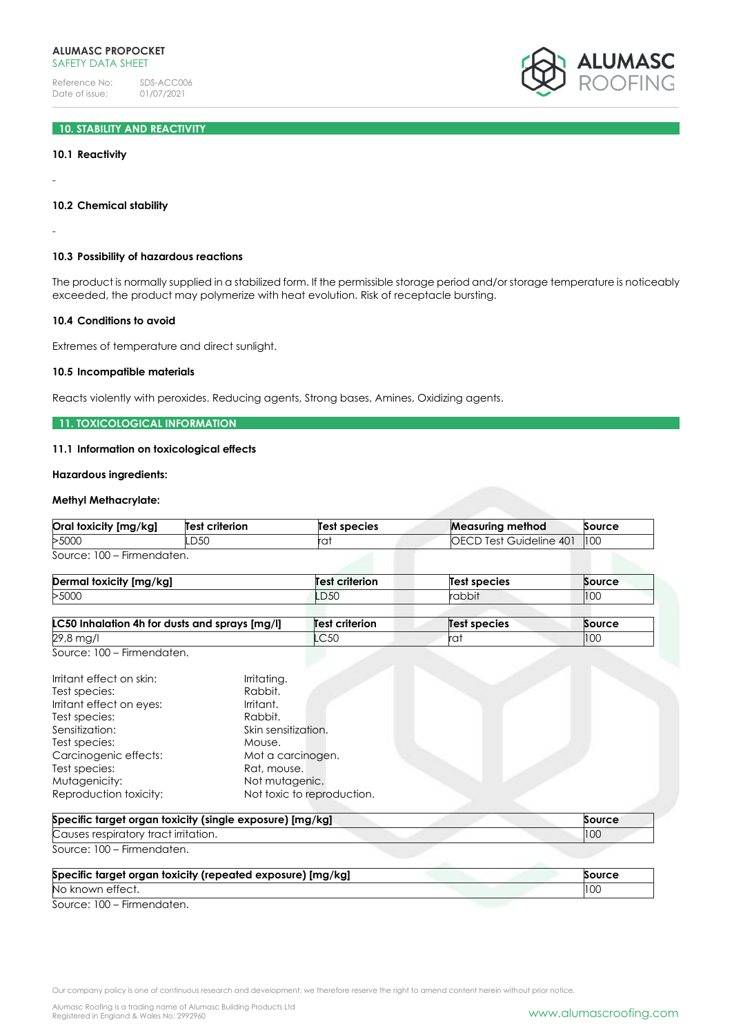

# **10. STABILITY AND REACTIVITY**

### **10.1 Reactivity**

**10.2 Chemical stability**

-

-

## **10.3 Possibility of hazardous reactions**

The product is normally supplied in a stabilized form. If the permissible storage period and/or storage temperature is noticeably exceeded, the product may polymerize with heat evolution. Risk of receptacle bursting.

#### **10.4 Conditions to avoid**

Extremes of temperature and direct sunlight.

#### **10.5 Incompatible materials**

Reacts violently with peroxides. Reducing agents, Strong bases, Amines, Oxidizing agents.

## **11. TOXICOLOGICAL INFORMATION**

#### **11.1 Information on toxicological effects**

### **Hazardous ingredients:**

#### **Methyl Methacrylate:**

| Oral toxicity [mg/kg]      | Test criterion | Test species | <b>Measuring method</b>        | Source |
|----------------------------|----------------|--------------|--------------------------------|--------|
| >5000                      | LD50           | rai          | <b>OECD Test Guideline 401</b> | 100    |
| Source: 100 – Firmendaten. |                |              |                                |        |

| <b>Dermal toxicity [mg/kg]</b> | <b>Test criterion</b> | Test species                                      | Source                    |
|--------------------------------|-----------------------|---------------------------------------------------|---------------------------|
| >5000                          | <b>LD50</b>           | $ \sim$ $\sim$ $\sim$ $\sim$<br>"QDD <sub>L</sub> | $\overline{1000}$<br>ט וי |

| LC50 Inhalation 4h for dusts and sprays [mg/l]                                                                                                                                                                                                                                  |                                                | <b>Test criterion</b>      | <b>Test species</b> | Source |
|---------------------------------------------------------------------------------------------------------------------------------------------------------------------------------------------------------------------------------------------------------------------------------|------------------------------------------------|----------------------------|---------------------|--------|
| 29,8 mg/l                                                                                                                                                                                                                                                                       |                                                | LC50                       | rat                 | 100    |
| Source: 100 - Firmendaten.                                                                                                                                                                                                                                                      |                                                |                            |                     |        |
| Irritant effect on skin:<br>Test species:<br>Irritant effect on eyes:<br>Test species:                                                                                                                                                                                          | Irritating.<br>Rabbit.<br>Irritant.<br>Rabbit. |                            |                     |        |
| Sensitization:                                                                                                                                                                                                                                                                  | Skin sensitization.                            |                            |                     |        |
| Test species:                                                                                                                                                                                                                                                                   | Mouse.                                         |                            |                     |        |
| Carcinogenic effects:                                                                                                                                                                                                                                                           | Mot a carcinogen.                              |                            |                     |        |
| Test species:                                                                                                                                                                                                                                                                   | Rat, mouse.                                    |                            |                     |        |
| Mutagenicity:                                                                                                                                                                                                                                                                   | Not mutagenic.                                 |                            |                     |        |
| Reproduction toxicity:                                                                                                                                                                                                                                                          |                                                | Not toxic to reproduction. |                     |        |
| Specific target organ toxicity (single exposure) [mg/kg]                                                                                                                                                                                                                        |                                                |                            |                     | Source |
| Causes respiratory tract irritation.                                                                                                                                                                                                                                            |                                                |                            |                     | 100    |
| Source: 100 - Firmendaten.                                                                                                                                                                                                                                                      |                                                |                            |                     |        |
| $\sim$ 10 $\sim$ 100 $\sim$ 100 $\sim$ 100 $\sim$ 100 $\sim$ 100 $\sim$ 100 $\sim$ 100 $\sim$ 100 $\sim$ 100 $\sim$ 100 $\sim$ 100 $\sim$ 100 $\sim$ 100 $\sim$ 100 $\sim$ 100 $\sim$ 100 $\sim$ 100 $\sim$ 100 $\sim$ 100 $\sim$ 100 $\sim$ 100 $\sim$ 100 $\sim$ 100 $\sim$ 1 |                                                |                            |                     |        |

| Specific target organ toxicity (repeated exposure) [mg/kg] | Source |
|------------------------------------------------------------|--------|
| No known effect.                                           | 10C    |
|                                                            |        |

Source: 100 – Firmendaten.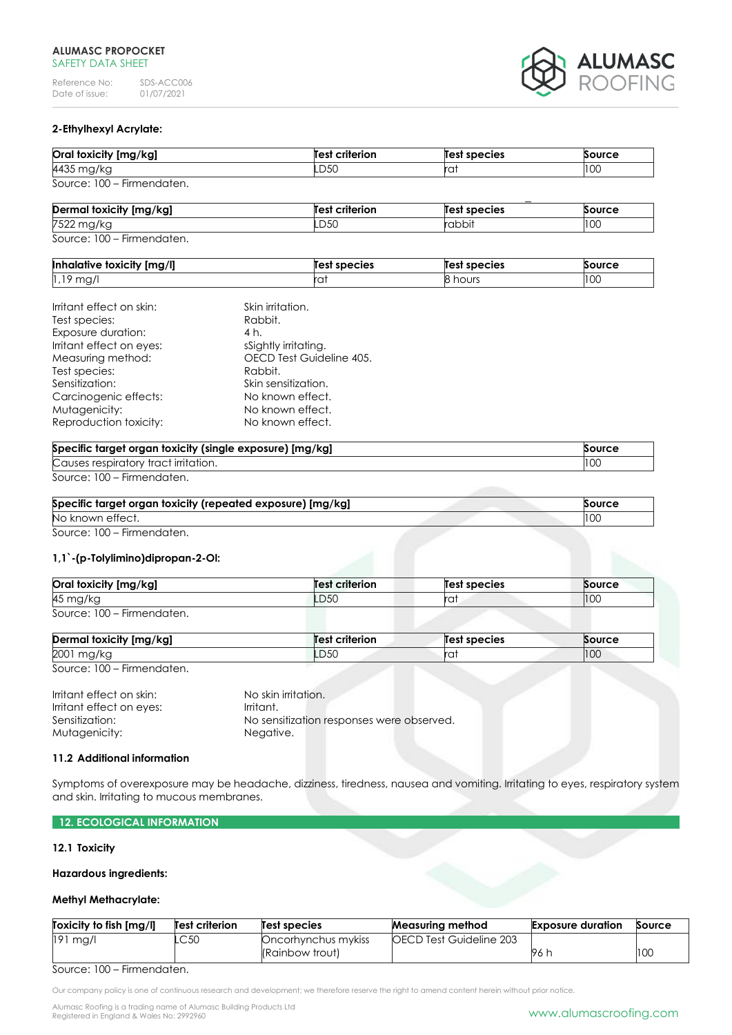Reference No: SDS-ACC006<br>Date of issue: 01/07/2021 Date of issue:



## **2-Ethylhexyl Acrylate:**

| Oral toxicity [mg/kg]      | <b>Test criterion</b> | Test species | Source |
|----------------------------|-----------------------|--------------|--------|
| 4435 mg/kg                 | .D50                  | ra.          | 100    |
| Source: 100 – Firmendaten. |                       |              |        |
|                            |                       |              |        |

| Dermal toxicity [mg/kg] | Test criterion | Test species | Source |
|-------------------------|----------------|--------------|--------|
| 7522 mg/kg              | <b>LD5C</b>    | rabbit       | II UU  |
| Source: 100 Eirmondaton |                |              |        |

|  |  |  | Source: 100 – Firmendaten. |  |
|--|--|--|----------------------------|--|
|--|--|--|----------------------------|--|

| ative toxicity [mg/l]<br>Inhald | species       | 's pecies<br>Test | <b>Source</b>           |
|---------------------------------|---------------|-------------------|-------------------------|
| ۱O<br>$\sim$<br>IU7<br>. .      | $r \sim$<br>◡ | hours             | 10 <sup>o</sup><br>טט ו |

| Irritant effect on skin: | Skin irritation.         |
|--------------------------|--------------------------|
| Test species:            | Rabbit.                  |
| Exposure duration:       | 4 h.                     |
| Irritant effect on eyes: | sSightly irritating.     |
| Measuring method:        | OECD Test Guideline 405. |
| Test species:            | Rabbit.                  |
| Sensitization:           | Skin sensitization.      |
| Carcinogenic effects:    | No known effect.         |
| Mutagenicity:            | No known effect.         |
| Reproduction toxicity:   | No known effect.         |

| Specific target organ toxicity (single exposure) [mg/kg] | Source |
|----------------------------------------------------------|--------|
| Causes respiratory tract irritation.                     |        |
| $\sim$<br>$\sim$ $\sim$                                  |        |

| Specific target organ toxicity (repeated exposure) [mg/kg] | Source |
|------------------------------------------------------------|--------|
| No known effect.                                           |        |
| Source: 100 – Firmendaten.                                 |        |

## **1,1`-(p-Tolylimino)dipropan-2-Ol:**

| Oral toxicity [mg/kg]      | <b>Test criterion</b> | Test species | Source |
|----------------------------|-----------------------|--------------|--------|
| 45 mg/kg                   | <b>LD50</b>           | ۳a.          | 100    |
| Source: 100 – Firmendaten. |                       |              |        |

| Derr<br>$\cdots$<br>.<br>NY. | $\sim$<br>$  -$ | species    | .     |
|------------------------------|-----------------|------------|-------|
| 2001                         | LD50            | يصما<br>u. | 11 UU |

Source: 100 – Firmendaten.

| Irritant effect on skin: | No skin irritation.                       |
|--------------------------|-------------------------------------------|
| Irritant effect on eyes: | Irritant.                                 |
| Sensitization:           | No sensitization responses were observed. |
| Mutagenicity:            | Neaative.                                 |

## **11.2 Additional information**

Symptoms of overexposure may be headache, dizziness, tiredness, nausea and vomiting. Irritating to eyes, respiratory system and skin. Irritating to mucous membranes.

## **12. ECOLOGICAL INFORMATION**

## **12.1 Toxicity**

### **Hazardous ingredients:**

## **Methyl Methacrylate:**

| Toxicity to fish [mg/l] | Test criterion | Test species        | <b>Measuring method</b>        | <b>Exposure duration</b> | Source |
|-------------------------|----------------|---------------------|--------------------------------|--------------------------|--------|
| $ 191 \text{ mg}/1$     | LC50           | Oncorhynchus mykiss | <b>OECD Test Guideline 203</b> |                          |        |
|                         |                | (Rainbow trout)     |                                | - 1961.                  | 100    |

### Source: 100 – Firmendaten.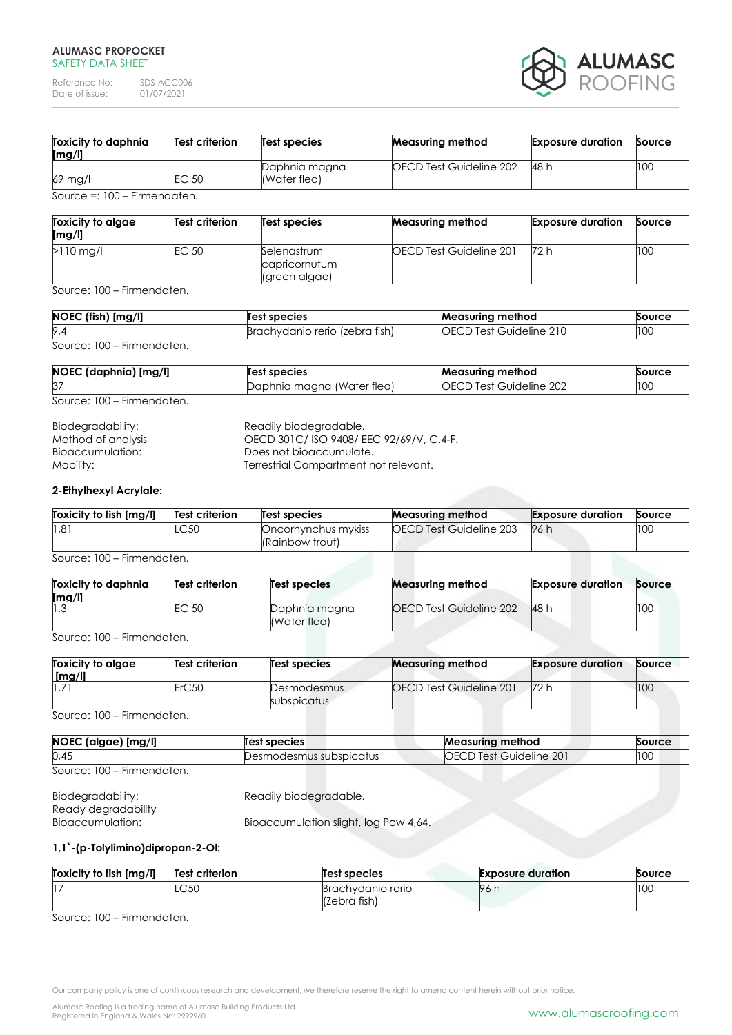Reference No: SDS-ACC006<br>Date of issue: 01/07/2021 Date of issue:



| Toxicity to daphnia<br>[mg/l]  | <b>Test criterion</b> | Test species                  | <b>Measuring method</b> | <b>Exposure duration</b> | Source |
|--------------------------------|-----------------------|-------------------------------|-------------------------|--------------------------|--------|
| 69 mg/l                        | EC 50                 | Daphnia magna<br>(Water flea) | OECD Test Guideline 202 | 48 h                     | 100    |
| Source =: $100$ – Firmendaten. |                       |                               |                         |                          |        |

| Toxicity to algae<br>[mg/l] | <b>Test criterion</b> | Test species                                  | <b>Measuring method</b>        | <b>Exposure duration</b> | Source |
|-----------------------------|-----------------------|-----------------------------------------------|--------------------------------|--------------------------|--------|
| $>110$ mg/l                 | EC 50                 | Selenastrum<br>capricornutum<br>(green algae) | <b>OECD Test Guideline 201</b> | 72 h                     | 100    |

Source: 100 – Firmendaten.

| NOEC (fish) [mg/l] | Test species                   | <b>Measuring method</b>  | Source |
|--------------------|--------------------------------|--------------------------|--------|
| 9,4                | Brachydanio rerio (zebra fish) | Guideline,<br>ОE<br>Test | 100    |
|                    |                                |                          |        |

## Source: 100 – Firmendaten.

| NOEC (daphnia) [mg/l] | Test species               | <b>Measuring method</b>    | Source |
|-----------------------|----------------------------|----------------------------|--------|
| 37                    | Daphnia magna (Water flea) | Test Guideline 202<br>OECI | 100    |

Source: 100 – Firmendaten.

| Readily biodegradable.                 |
|----------------------------------------|
| OECD 301C/ISO 9408/EEC 92/69/V, C.4-F. |
| Does not bioaccumulate.                |
| Terrestrial Compartment not relevant.  |
|                                        |

## **2-Ethylhexyl Acrylate:**

| Toxicity to fish [mg/l] | Test criterion | Test species                           | <b>Measuring method</b> | <b>Exposure duration</b> | Source |
|-------------------------|----------------|----------------------------------------|-------------------------|--------------------------|--------|
| 1,81                    | .C50           | Oncorhynchus mykiss<br>(Rainbow trout) | OECD Test Guideline 203 | 96 h                     | 100    |
| Source: 100 Eirmondaton |                |                                        |                         |                          |        |

Source: 100 – Firmendaten.

| Toxicity to daphnia<br>[mg/l] | <b>Test criterion</b> | Test species                  | <b>Measuring method</b> | <b>Exposure duration</b> | Source |
|-------------------------------|-----------------------|-------------------------------|-------------------------|--------------------------|--------|
| 3، ا∣                         | EC 50                 | Daphnia magna<br>(Water flea) | OECD Test Guideline 202 | <b>48 h</b>              | 100    |

Source: 100 – Firmendaten.

| <b>Toxicity to algae</b><br>$\lceil \mathsf{mq}/\mathsf{l} \rceil$ | <b>Test criterion</b> | Test species               | <b>Measuring method</b> | <b>Exposure duration</b> | Source |
|--------------------------------------------------------------------|-----------------------|----------------------------|-------------------------|--------------------------|--------|
|                                                                    | ErC50                 | Desmodesmus<br>subspicatus | OECD Test Guideline 201 | 72 h                     | 100    |

Source: 100 – Firmendaten.

| NOEC (algae) [mg/l]        | Test species            | <b>Measuring method</b>        | Source |
|----------------------------|-------------------------|--------------------------------|--------|
| 0,45                       | Desmodesmus subspicatus | <b>OECD Test Guideline 201</b> | 100    |
| Source: 100 – Firmendaten. |                         |                                |        |

| Biodegradability:   | Readily biodegradable.                |
|---------------------|---------------------------------------|
| Ready degradability |                                       |
| Bioaccumulation:    | Bioaccumulation slight, log Pow 4,64. |

# **1,1`-(p-Tolylimino)dipropan-2-Ol:**

| Toxicity to fish [mg/l] | Test criterion | Test species                      | <b>Exposure duration</b> | Source |
|-------------------------|----------------|-----------------------------------|--------------------------|--------|
|                         | LC50           | Brachydanio rerio<br>(Zebra fish) | 96 h                     | 100    |

Source: 100 – Firmendaten.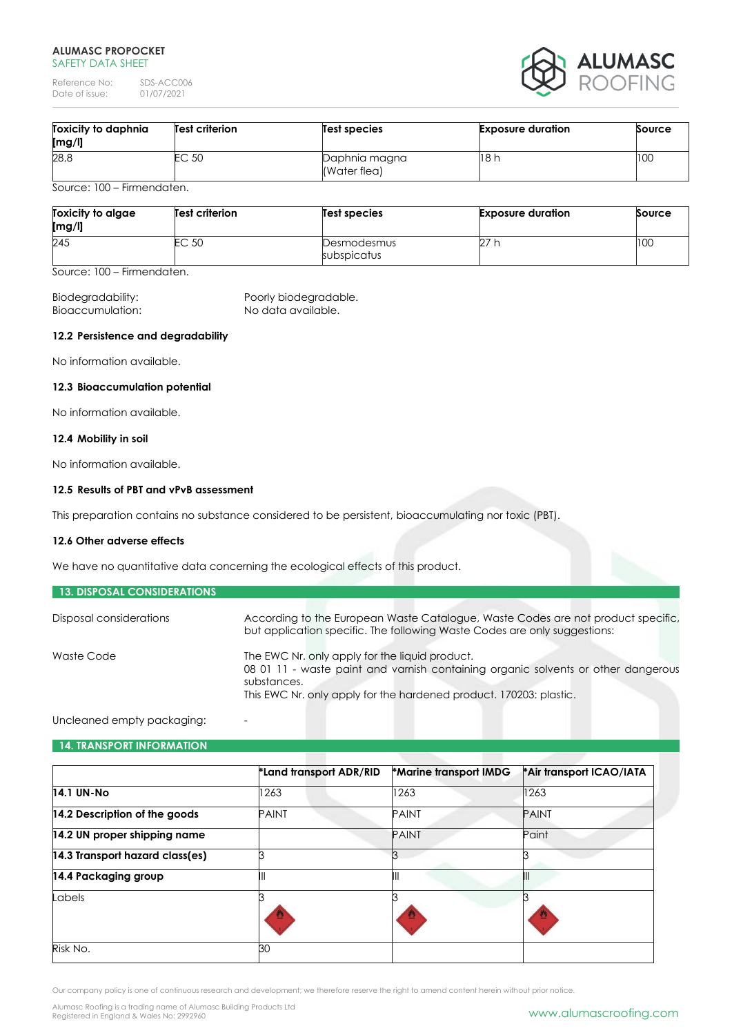Reference No: SDS-ACC006<br>Date of issue: 01/07/2021 Date of issue:



| Toxicity to daphnia<br>[mg/l] | <b>Test criterion</b> | Test species                  | <b>Exposure duration</b> | Source |
|-------------------------------|-----------------------|-------------------------------|--------------------------|--------|
| 28,8                          | EC 50                 | Daphnia magna<br>(Water flea) | 18 h                     | 100    |
| $0.100$ $0.100$ $0.100$       |                       |                               |                          |        |

Source: 100 – Firmendaten.

| Toxicity to algae<br>[mg/l] | <b>Test criterion</b> | Test species               | <b>Exposure duration</b> | Source |
|-----------------------------|-----------------------|----------------------------|--------------------------|--------|
| 245                         | EC 50                 | Desmodesmus<br>subspicatus | 27                       | 100    |

Source: 100 – Firmendaten.

Bioaccumulation: No data available.

Biodegradability: Poorly biodegradable.

## **12.2 Persistence and degradability**

No information available.

## **12.3 Bioaccumulation potential**

No information available.

## **12.4 Mobility in soil**

No information available.

## **12.5 Results of PBT and vPvB assessment**

This preparation contains no substance considered to be persistent, bioaccumulating nor toxic (PBT).

## **12.6 Other adverse effects**

We have no quantitative data concerning the ecological effects of this product.

| <b>13. DISPOSAL CONSIDERATIONS</b> |                                                                                                                                                                                                                          |
|------------------------------------|--------------------------------------------------------------------------------------------------------------------------------------------------------------------------------------------------------------------------|
| Disposal considerations            | According to the European Waste Catalogue, Waste Codes are not product specific,<br>but application specific. The following Waste Codes are only suggestions:                                                            |
| Waste Code                         | The EWC Nr. only apply for the liquid product.<br>08 01 11 - waste paint and varnish containing organic solvents or other dangerous<br>substances.<br>This EWC Nr. only apply for the hardened product. 170203: plastic. |

### Uncleaned empty packaging:

## **14. TRANSPORT INFORMATION**

|                                 | *Land transport ADR/RID | *Marine transport IMDG | *Air transport ICAO/IATA |
|---------------------------------|-------------------------|------------------------|--------------------------|
| <b>14.1 UN-No</b>               | 1263                    | 1263                   | 1263                     |
| 14.2 Description of the goods   | <b>PAINT</b>            | <b>PAINT</b>           | <b>PAINT</b>             |
| 14.2 UN proper shipping name    |                         | <b>PAINT</b>           | Paint                    |
| 14.3 Transport hazard class(es) |                         |                        |                          |
| 14.4 Packaging group            |                         | Ш                      |                          |
| Labels                          |                         |                        |                          |
|                                 |                         |                        |                          |
| Risk No.                        | 30                      |                        |                          |

Our company policy is one of continuous research and development; we therefore reserve the right to amend content herein without prior notice.

Alumasc Roofing is a trading name of Alumasc Building Products Ltd